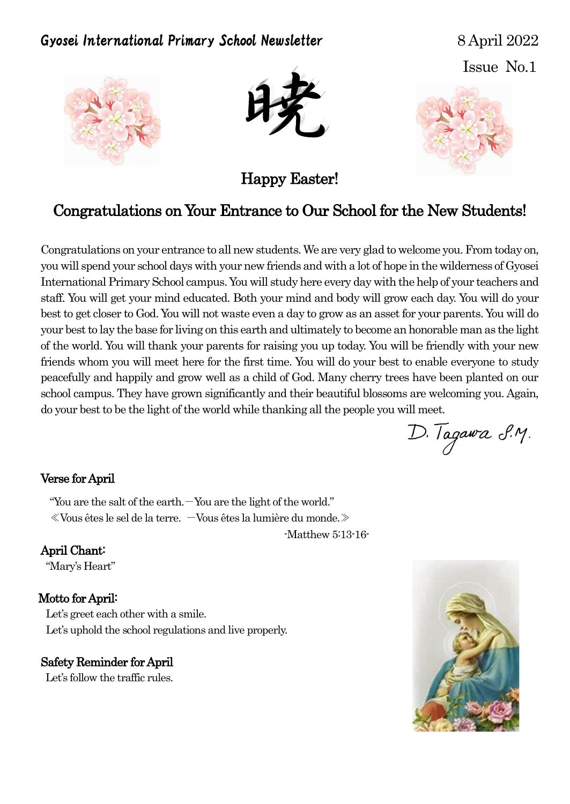# Gyosei International Primary School Newsletter 8 April 2022

Issue No.1





Happy Easter!



# Congratulations on Your Entrance to Our School for the New Students!

Congratulations on your entrance to all new students. We are very glad to welcome you. From today on, you will spend your school days with your new friends and with a lot of hope in the wilderness of Gyosei International Primary School campus. You will study here every day with the help of your teachers and staff. You will get your mind educated. Both your mind and body will grow each day. You will do your best to get closer to God. You will not waste even a day to grow as an asset for your parents. You will do your best to lay the base for living on this earth and ultimately to become an honorable man as the light of the world. You will thank your parents for raising you up today. You will be friendly with your new friends whom you will meet here for the first time. You will do your best to enable everyone to study peacefully and happily and grow well as a child of God. Many cherry trees have been planted on our school campus. They have grown significantly and their beautiful blossoms are welcoming you. Again, do your best to be the light of the world while thanking all the people you will meet.

D. Tagawa S.M.

#### Verse for April

"You are the salt of the earth. $-$ You are the light of the world." ≪Vous êtes le sel de la terre. -Vous êtes la lumière du monde.≫

-Matthew 5:13-16-

### April Chant:

"Mary's Heart"

#### Motto for April:

Let's greet each other with a smile. Let's uphold the school regulations and live properly.

#### Safety Reminder for April

Let's follow the traffic rules.

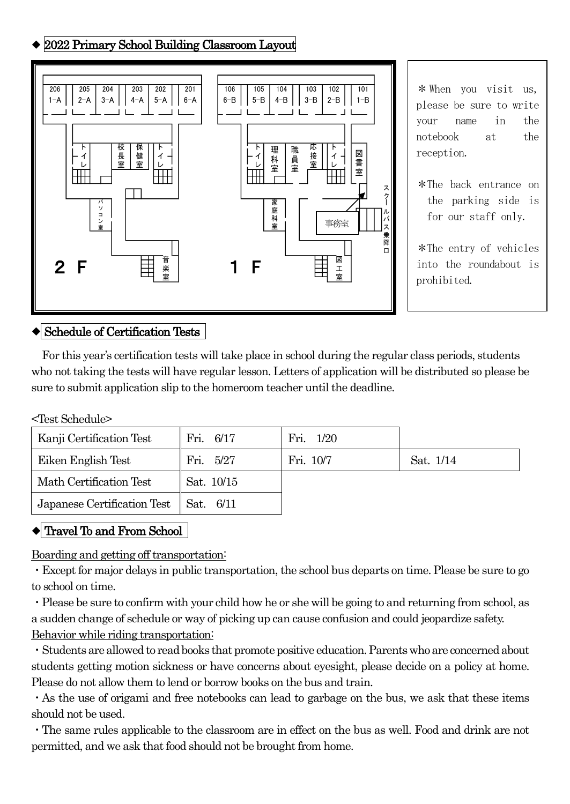# ◆ 2022 Primary School Building Classroom Layout



\*When you visit us, please be sure to write your name in the notebook at the reception.

\*The back entrance on the parking side is for our staff only.

\*The entry of vehicles into the roundabout is prohibited.

# ◆ Schedule of Certification Tests

For this year's certification tests will take place in school during the regular class periods, students who not taking the tests will have regular lesson. Letters of application will be distributed so please be sure to submit application slip to the homeroom teacher until the deadline.

#### <Test Schedule>

| Kanji Certification Test    | Fri. 6/17  | Fri. 1/20 |           |
|-----------------------------|------------|-----------|-----------|
| Eiken English Test          | Fri. 5/27  | Fri. 10/7 | Sat. 1/14 |
| Math Certification Test     | Sat. 10/15 |           |           |
| Japanese Certification Test | Sat. 6/11  |           |           |

# ◆ Travel To and From School

Boarding and getting off transportation:

・Except for major delays in public transportation, the school bus departs on time. Please be sure to go to school on time.

・Please be sure to confirm with your child how he or she will be going to and returning from school, as a sudden change of schedule or way of picking up can cause confusion and could jeopardize safety. Behavior while riding transportation:

・Students are allowed to read books that promote positive education. Parents who are concerned about students getting motion sickness or have concerns about eyesight, please decide on a policy at home. Please do not allow them to lend or borrow books on the bus and train.

・As the use of origami and free notebooks can lead to garbage on the bus, we ask that these items should not be used.

・The same rules applicable to the classroom are in effect on the bus as well. Food and drink are not permitted, and we ask that food should not be brought from home.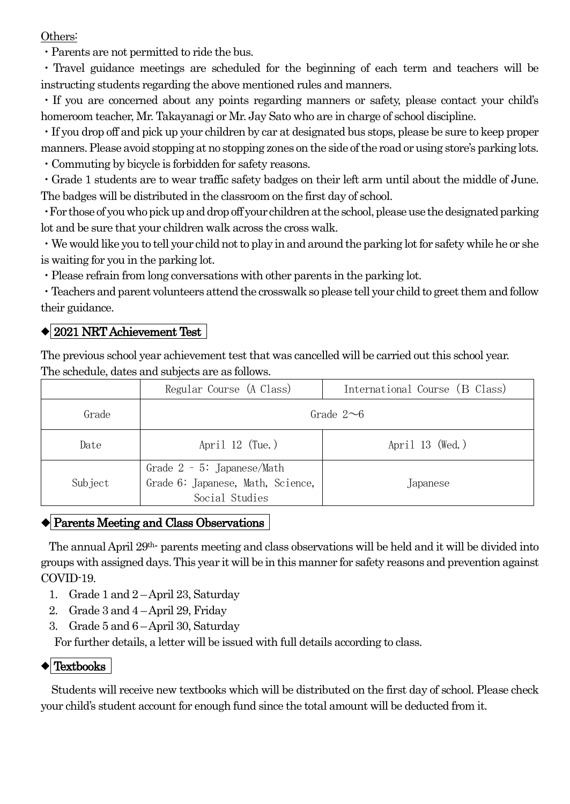Others:

・Parents are not permitted to ride the bus.

・Travel guidance meetings are scheduled for the beginning of each term and teachers will be instructing students regarding the above mentioned rules and manners.

・If you are concerned about any points regarding manners or safety, please contact your child's homeroom teacher, Mr. Takayanagi or Mr. Jay Sato who are in charge of school discipline.

・If you drop off and pick up your children by car at designated bus stops, please be sure to keep proper manners. Please avoid stopping at no stopping zones on the side of the road or using store's parking lots. ・Commuting by bicycle is forbidden for safety reasons.

・Grade 1 students are to wear traffic safety badges on their left arm until about the middle of June. The badges will be distributed in the classroom on the first day of school.

・For those of you who pick up and drop off your children at the school,please use the designated parking lot and be sure that your children walk across the cross walk.

・We would like you to tell your child not to play in and around the parking lot for safety while he or she is waiting for you in the parking lot.

・Please refrain from long conversations with other parents in the parking lot.

・Teachers and parent volunteers attend the crosswalk so please tell your child to greet them and follow their guidance.

# ◆ 2021 NRT Achievement Test

The previous school year achievement test that was cancelled will be carried out this school year. The schedule, dates and subjects are as follows.

|         | Regular Course (A Class)                                                             | International Course (B Class) |  |
|---------|--------------------------------------------------------------------------------------|--------------------------------|--|
| Grade   | Grade $2\neg 6$                                                                      |                                |  |
| Date    | April $12$ (Tue.)                                                                    | April $13 \,$ (Wed.)           |  |
| Subject | Grade $2 - 5$ : Japanese/Math<br>Grade 6: Japanese, Math, Science,<br>Social Studies | Japanese                       |  |

### ◆ Parents Meeting and Class Observations

The annual April 29th- parents meeting and class observations will be held and it will be divided into groups with assigned days.This year it will be in this manner for safety reasons and prevention against COVID-19.

- 1. Grade 1 and 2 –April 23, Saturday
- 2. Grade 3 and 4 –April 29, Friday
- 3. Grade 5 and 6 –April 30, Saturday

For further details, a letter will be issued with full details according to class.

### $\blacklozenge$  Textbooks

Students will receive new textbooks which will be distributed on the first day of school. Please check your child's student account for enough fund since the total amount will be deducted from it.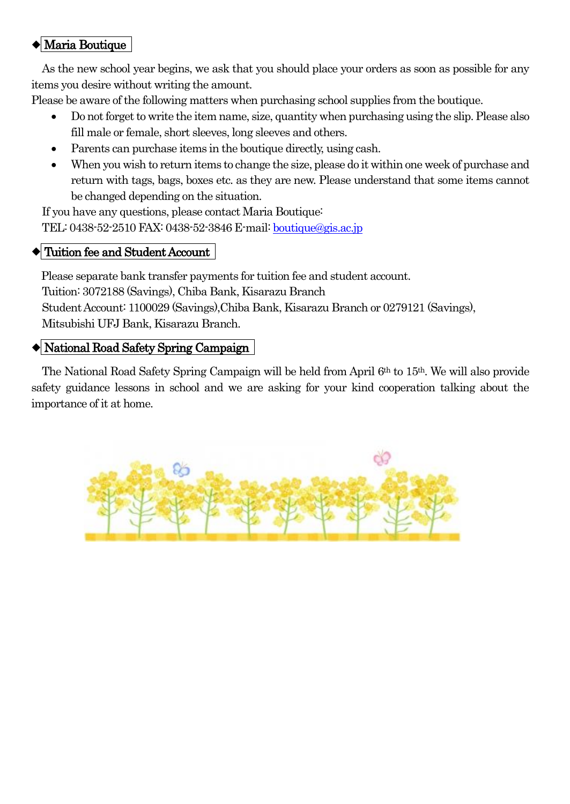# ◆ Maria Boutique

As the new school year begins, we ask that you should place your orders as soon as possible for any items you desire without writing the amount.

Please be aware of the following matters when purchasing school supplies from the boutique.

- Do not forget to write the item name, size, quantity when purchasing using the slip. Please also fill male or female, short sleeves, long sleeves and others.
- Parents can purchase items in the boutique directly, using cash.
- When you wish to return items to change the size, please do it within one week of purchase and return with tags, bags, boxes etc. as they are new. Please understand that some items cannot be changed depending on the situation.

If you have any questions, please contact Maria Boutique: TEL: 0438-52-2510 FAX: 0438-52-3846 E-mail[: boutique@gis.ac.jp](mailto:boutique@gis.ac.jp)

### $\blacklozenge$  Tuition fee and Student Account

Please separate bank transfer payments for tuition fee and student account. Tuition: 3072188 (Savings), Chiba Bank, Kisarazu Branch Student Account: 1100029 (Savings),Chiba Bank, Kisarazu Branch or 0279121 (Savings), Mitsubishi UFJ Bank, Kisarazu Branch.

# ◆ National Road Safety Spring Campaign

The National Road Safety Spring Campaign will be held from April 6th to 15th. We will also provide safety guidance lessons in school and we are asking for your kind cooperation talking about the importance of it at home.